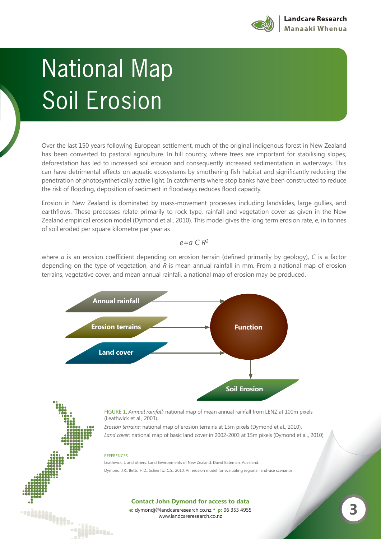

## National Map Soil Erosion

Over the last 150 years following European settlement, much of the original indigenous forest in New Zealand has been converted to pastoral agriculture. In hill country, where trees are important for stabilising slopes, deforestation has led to increased soil erosion and consequently increased sedimentation in waterways. This can have detrimental effects on aquatic ecosystems by smothering fish habitat and significantly reducing the penetration of photosynthetically active light. In catchments where stop banks have been constructed to reduce the risk of flooding, deposition of sediment in floodways reduces flood capacity.

Erosion in New Zealand is dominated by mass-movement processes including landslides, large gullies, and earthflows. These processes relate primarily to rock type, rainfall and vegetation cover as given in the New Zealand empirical erosion model (Dymond et al., 2010). This model gives the long term erosion rate, e, in tonnes of soil eroded per square kilometre per year as

## *e=a C R2*

where *a* is an erosion coefficient depending on erosion terrain (defined primarily by geology), *C* is a factor depending on the type of vegetation, and *R* is mean annual rainfall in mm. From a national map of erosion terrains, vegetative cover, and mean annual rainfall, a national map of erosion may be produced.



Leathwick, J. and others. Land Environments of New Zealand. David Bateman, Auckland. Dymond, J.R., Betts, H.D., Schierlitz, C.S., 2010. An erosion model for evaluating regional land-use scenarios.

## **Contact John Dymond for access to data**

e: dymondj@landcareresearch.co.nz • **p**: 06 353 4955<br>www.landcareresearch.co.nz

illin<sub>isiin</sub>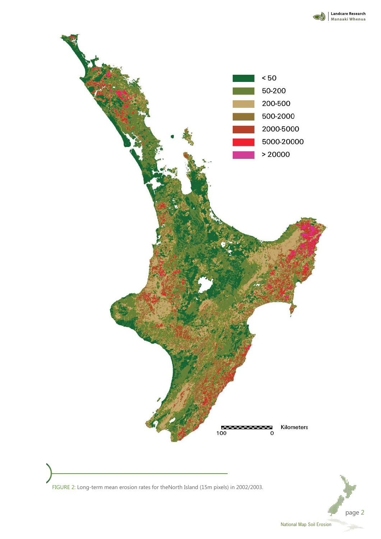



FIGURE 2: Long-term mean erosion rates for theNorth Island (15m pixels) in 2002/2003.

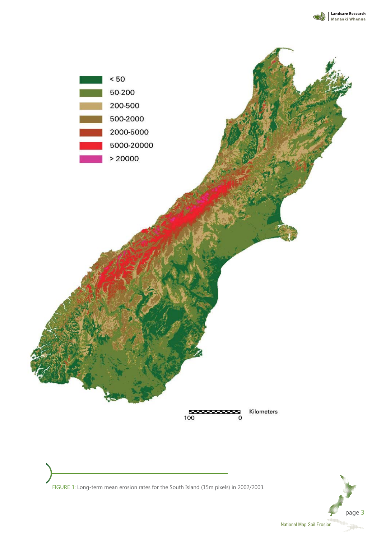

FIGURE 3: Long-term mean erosion rates for the South Island (15m pixels) in 2002/2003.